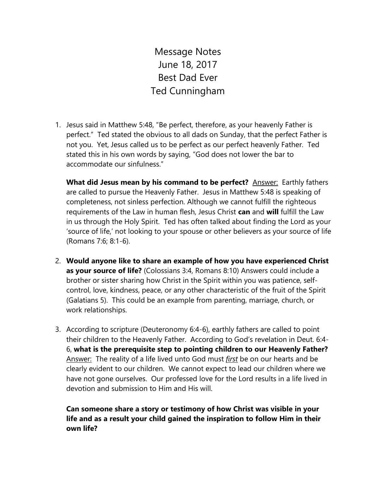Message Notes June 18, 2017 Best Dad Ever Ted Cunningham

1. Jesus said in Matthew 5:48, "Be perfect, therefore, as your heavenly Father is perfect." Ted stated the obvious to all dads on Sunday, that the perfect Father is not you. Yet, Jesus called us to be perfect as our perfect heavenly Father. Ted stated this in his own words by saying, "God does not lower the bar to accommodate our sinfulness."

What did Jesus mean by his command to be perfect? **Answer: Earthly fathers** are called to pursue the Heavenly Father. Jesus in Matthew 5:48 is speaking of completeness, not sinless perfection. Although we cannot fulfill the righteous requirements of the Law in human flesh, Jesus Christ **can** and **will** fulfill the Law in us through the Holy Spirit. Ted has often talked about finding the Lord as your 'source of life,' not looking to your spouse or other believers as your source of life (Romans 7:6; 8:1-6).

- 2. **Would anyone like to share an example of how you have experienced Christ as your source of life?** (Colossians 3:4, Romans 8:10) Answers could include a brother or sister sharing how Christ in the Spirit within you was patience, selfcontrol, love, kindness, peace, or any other characteristic of the fruit of the Spirit (Galatians 5). This could be an example from parenting, marriage, church, or work relationships.
- 3. According to scripture (Deuteronomy 6:4-6), earthly fathers are called to point their children to the Heavenly Father. According to God's revelation in Deut. 6:4- 6, **what is the prerequisite step to pointing children to our Heavenly Father?**  Answer: The reality of a life lived unto God must *first* be on our hearts and be clearly evident to our children. We cannot expect to lead our children where we have not gone ourselves. Our professed love for the Lord results in a life lived in devotion and submission to Him and His will.

**Can someone share a story or testimony of how Christ was visible in your life and as a result your child gained the inspiration to follow Him in their own life?**